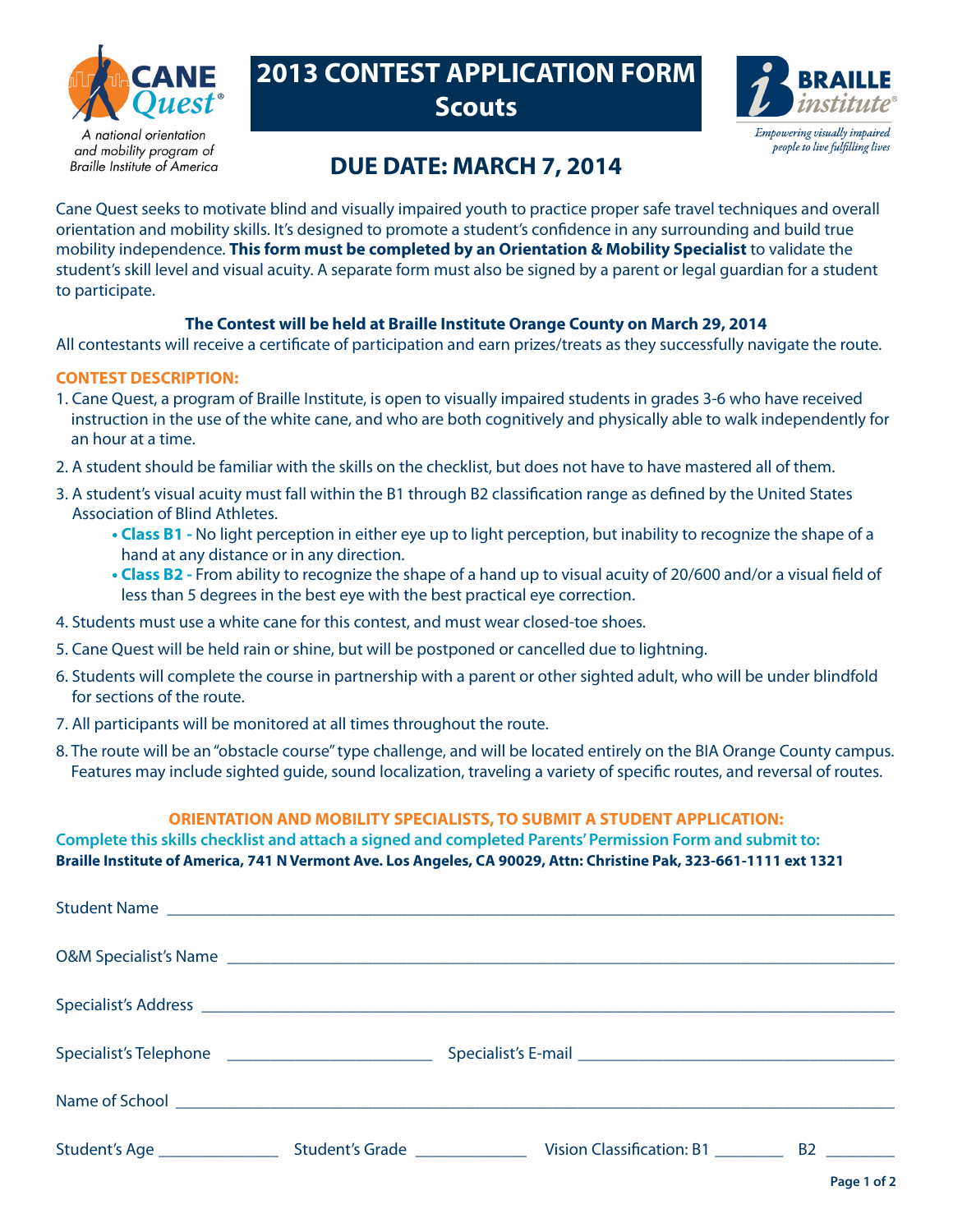

and mobility program of **Braille Institute of America** 

# **2013 CONTEST APPLICATION FORM Scouts**



## **DUE DATE: MARCH 7, 2014**

Cane Quest seeks to motivate blind and visually impaired youth to practice proper safe travel techniques and overall orientation and mobility skills. It's designed to promote a student's confidence in any surrounding and build true mobility independence. **This form must be completed by an Orientation & Mobility Specialist** to validate the student's skill level and visual acuity. A separate form must also be signed by a parent or legal guardian for a student to participate.

#### **The Contest will be held at Braille Institute Orange County on March 29, 2014**

All contestants will receive a certificate of participation and earn prizes/treats as they successfully navigate the route.

#### **CONTEST DESCRIPTION:**

- 1. Cane Quest, a program of Braille Institute, is open to visually impaired students in grades 3-6 who have received instruction in the use of the white cane, and who are both cognitively and physically able to walk independently for an hour at a time.
- 2. A student should be familiar with the skills on the checklist, but does not have to have mastered all of them.
- 3. A student's visual acuity must fall within the B1 through B2 classification range as defined by the United States Association of Blind Athletes.
	- **Class B1** No light perception in either eye up to light perception, but inability to recognize the shape of a hand at any distance or in any direction.
	- **Class B2** From ability to recognize the shape of a hand up to visual acuity of 20/600 and/or a visual field of less than 5 degrees in the best eye with the best practical eye correction.
- 4. Students must use a white cane for this contest, and must wear closed-toe shoes.
- 5. Cane Quest will be held rain or shine, but will be postponed or cancelled due to lightning.
- 6. Students will complete the course in partnership with a parent or other sighted adult, who will be under blindfold for sections of the route.
- 7. All participants will be monitored at all times throughout the route.
- 8. The route will be an "obstacle course" type challenge, and will be located entirely on the BIA Orange County campus. Features may include sighted guide, sound localization, traveling a variety of specific routes, and reversal of routes.

#### **ORIENTATION AND MOBILITY SPECIALISTS, TO SUBMIT A STUDENT APPLICATION:**

**Complete this skills checklist and attach a signed and completed Parents' Permission Form and submit to: Braille Institute of America, 741 N Vermont Ave. Los Angeles, CA 90029, Attn: Christine Pak, 323-661-1111 ext 1321**

| Specialist's Telephone ______________________________ |  |
|-------------------------------------------------------|--|
|                                                       |  |
|                                                       |  |